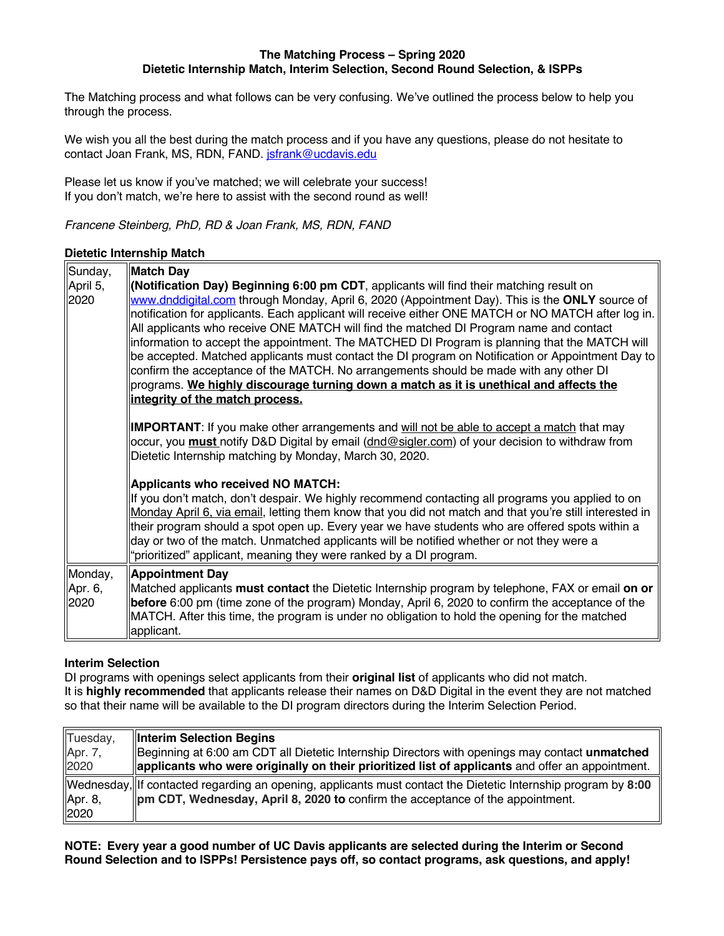#### **The Matching Process – Spring 2020 Dietetic Internship Match, Interim Selection, Second Round Selection, & ISPPs**

The Matching process and what follows can be very confusing. We've outlined the process below to help you through the process.

We wish you all the best during the match process and if you have any questions, please do not hesitate to contact Joan Frank, MS, RDN, FAND. jsfrank@ucdavis.edu

Please let us know if you've matched; we will celebrate your success! If you don't match, we're here to assist with the second round as well!

*Francene Steinberg, PhD, RD & Joan Frank, MS, RDN, FAND*

### **Dietetic Internship Match**

| Sunday,<br>April 5,<br>2020 | Match Day<br><b>Notification Day) Beginning 6:00 pm CDT</b> , applicants will find their matching result on<br>www.dnddigital.com through Monday, April 6, 2020 (Appointment Day). This is the ONLY source of<br>notification for applicants. Each applicant will receive either ONE MATCH or NO MATCH after log in.<br>All applicants who receive ONE MATCH will find the matched DI Program name and contact<br>information to accept the appointment. The MATCHED DI Program is planning that the MATCH will<br>be accepted. Matched applicants must contact the DI program on Notification or Appointment Day to<br>confirm the acceptance of the MATCH. No arrangements should be made with any other DI<br>programs. We highly discourage turning down a match as it is unethical and affects the<br>integrity of the match process. |
|-----------------------------|--------------------------------------------------------------------------------------------------------------------------------------------------------------------------------------------------------------------------------------------------------------------------------------------------------------------------------------------------------------------------------------------------------------------------------------------------------------------------------------------------------------------------------------------------------------------------------------------------------------------------------------------------------------------------------------------------------------------------------------------------------------------------------------------------------------------------------------------|
|                             | <b>IMPORTANT</b> : If you make other arrangements and will not be able to accept a match that may<br>occur, you <b>must</b> notify D&D Digital by email (dnd@sigler.com) of your decision to withdraw from<br>Dietetic Internship matching by Monday, March 30, 2020.                                                                                                                                                                                                                                                                                                                                                                                                                                                                                                                                                                      |
|                             | Applicants who received NO MATCH:<br>If you don't match, don't despair. We highly recommend contacting all programs you applied to on<br>Monday April 6, via email, letting them know that you did not match and that you're still interested in<br>their program should a spot open up. Every year we have students who are offered spots within a<br>day or two of the match. Unmatched applicants will be notified whether or not they were a<br>'prioritized" applicant, meaning they were ranked by a DI program.                                                                                                                                                                                                                                                                                                                     |
| Monday,<br>Apr. 6,<br>2020  | Appointment Day<br>Matched applicants must contact the Dietetic Internship program by telephone, FAX or email on or<br>before 6:00 pm (time zone of the program) Monday, April 6, 2020 to confirm the acceptance of the<br>MATCH. After this time, the program is under no obligation to hold the opening for the matched<br>applicant.                                                                                                                                                                                                                                                                                                                                                                                                                                                                                                    |

# **Interim Selection**

DI programs with openings select applicants from their **original list** of applicants who did not match. It is **highly recommended** that applicants release their names on D&D Digital in the event they are not matched so that their name will be available to the DI program directors during the Interim Selection Period.

| Tuesday, | Interim Selection Begins                                                                                                              |
|----------|---------------------------------------------------------------------------------------------------------------------------------------|
| Apr. 7,  | Beginning at 6:00 am CDT all Dietetic Internship Directors with openings may contact unmatched                                        |
| 2020     | applicants who were originally on their prioritized list of applicants and offer an appointment.                                      |
| Apr. 8,  | $\parallel$ Wednesday, $\parallel$ If contacted regarding an opening, applicants must contact the Dietetic Internship program by 8:00 |
| 2020     | $\parallel$ pm CDT, Wednesday, April 8, 2020 to confirm the acceptance of the appointment.                                            |

**NOTE: Every year a good number of UC Davis applicants are selected during the Interim or Second Round Selection and to ISPPs! Persistence pays off, so contact programs, ask questions, and apply!**